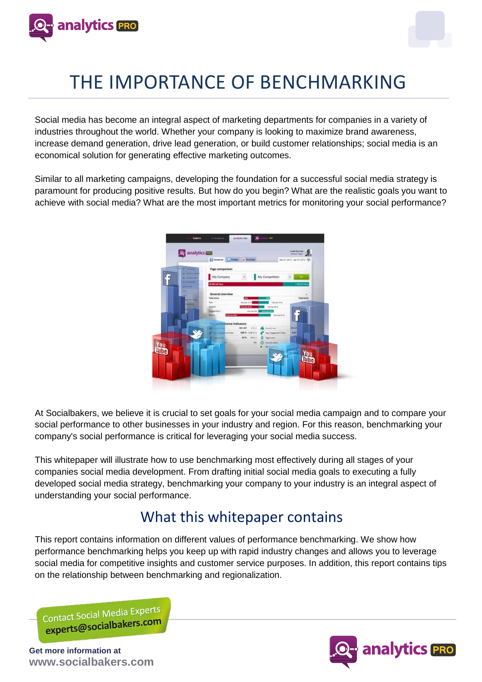



Social media has become an integral aspect of marketing departments for companies in a variety of industries throughout the world. Whether your company is looking to maximize brand awareness, increase demand generation, drive lead generation, or build customer relationships; social media is an economical solution for generating effective marketing outcomes.

Similar to all marketing campaigns, developing the foundation for a successful social media strategy is paramount for producing positive results. But how do you begin? What are the realistic goals you want to achieve with social media? What are the most important metrics for monitoring your social performance?



At Socialbakers, we believe it is crucial to set goals for your social media campaign and to compare your social performance to other businesses in your industry and region. For this reason, benchmarking your company's social performance is critical for leveraging your social media success.

This whitepaper will illustrate how to use benchmarking most effectively during all stages of your companies social media development. From drafting initial social media goals to executing a fully developed social media strategy, benchmarking your company to your industry is an integral aspect of understanding your social performance.

### What this whitepaper contains

This report contains information on different values of performance benchmarking. We show how performance benchmarking helps you keep up with rapid industry changes and allows you to leverage social media for competitive insights and customer service purposes. In addition, this report contains tips on the relationship between benchmarking and regionalization.

Contact Social Media Experts contact Social Wickless.com

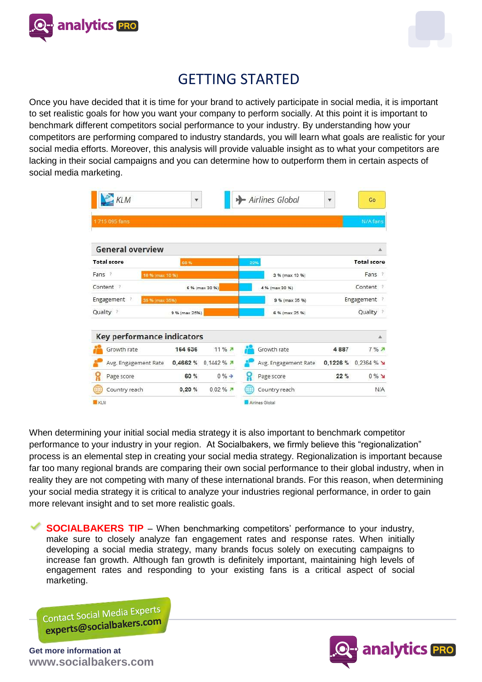



## GETTING STARTED

Once you have decided that it is time for your brand to actively participate in social media, it is important to set realistic goals for how you want your company to perform socially. At this point it is important to benchmark different competitors social performance to your industry. By understanding how your competitors are performing compared to industry standards, you will learn what goals are realistic for your social media efforts. Moreover, this analysis will provide valuable insight as to what your competitors are lacking in their social campaigns and you can determine how to outperform them in certain aspects of social media marketing.

| <b>KLM</b>                            | $\boldsymbol{\Psi}$ |                          |                | - Airlines Global        | ۷                  | Go        |  |
|---------------------------------------|---------------------|--------------------------|----------------|--------------------------|--------------------|-----------|--|
| 1715 095 fans                         |                     |                          |                |                          |                    | N/A fans  |  |
| <b>General overview</b>               |                     |                          |                |                          |                    | A         |  |
| <b>Total score</b>                    | 60%                 |                          | 22%            |                          | <b>Total score</b> |           |  |
| Fans <sup>?</sup><br>10 % (max 10.96) |                     |                          |                | Fans ?<br>3 % (max 10 %) |                    |           |  |
| Content ?<br>6 % (max 30 %)           |                     |                          | 4 % (max 30 %) |                          | Content:           |           |  |
| Engagement ?<br>35 % (max 35%)        |                     |                          |                | 9 % (max 35 %)           | Engagement<br>- 7  |           |  |
| Quality ?<br>9 % (max 25%)            |                     |                          | 6 % (max 25 %) |                          | Quality ?          |           |  |
| <b>Key performance indicators</b>     |                     |                          |                |                          |                    | д         |  |
| Growth rate                           | 164 636             | 11%7                     |                | Growth rate              | 4887               | $7%$ $7%$ |  |
| Avg. Engagement Rate                  | 0,4662 %            | 0,1442%                  |                | Avg. Engagement Rate     | 0,1226 %           | 0.2364%   |  |
| ប្អ<br>Page score                     | 60 %                | $0\%$ $\rightarrow$      | ę.             | Page score               | 22%                | $0\%$ M   |  |
| Country reach                         | 0,20%               | $0.02 \%$ $\overline{A}$ |                | Country reach            |                    | N/A       |  |

When determining your initial social media strategy it is also important to benchmark competitor performance to your industry in your region. At Socialbakers, we firmly believe this "regionalization" process is an elemental step in creating your social media strategy. Regionalization is important because far too many regional brands are comparing their own social performance to their global industry, when in reality they are not competing with many of these international brands. For this reason, when determining your social media strategy it is critical to analyze your industries regional performance, in order to gain more relevant insight and to set more realistic goals.

**SOCIALBAKERS TIP** – When benchmarking competitors' performance to your industry, make sure to closely analyze fan engagement rates and response rates. When initially developing a social media strategy, many brands focus solely on executing campaigns to increase fan growth. Although fan growth is definitely important, maintaining high levels of engagement rates and responding to your existing fans is a critical aspect of social marketing.

Contact Social Media Experts Contact Social Incolaters.com

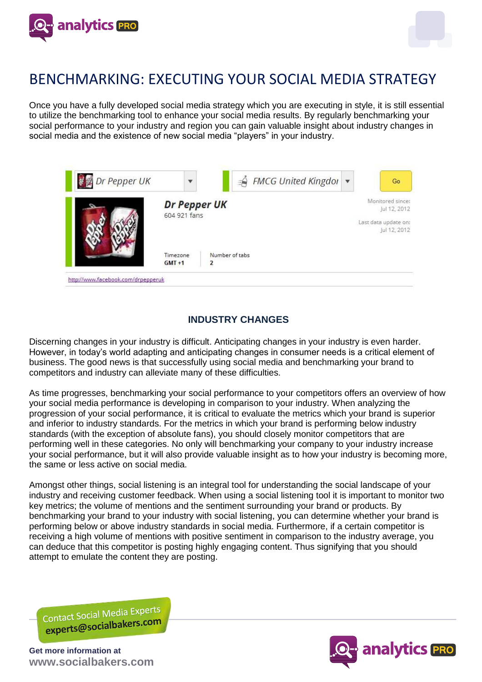



# BENCHMARKING: EXECUTING YOUR SOCIAL MEDIA STRATEGY

Once you have a fully developed social media strategy which you are executing in style, it is still essential to utilize the benchmarking tool to enhance your social media results. By regularly benchmarking your social performance to your industry and region you can gain valuable insight about industry changes in social media and the existence of new social media "players" in your industry.



### **INDUSTRY CHANGES**

Discerning changes in your industry is difficult. Anticipating changes in your industry is even harder. However, in today's world adapting and anticipating changes in consumer needs is a critical element of business. The good news is that successfully using social media and benchmarking your brand to competitors and industry can alleviate many of these difficulties.

As time progresses, benchmarking your social performance to your competitors offers an overview of how your social media performance is developing in comparison to your industry. When analyzing the progression of your social performance, it is critical to evaluate the metrics which your brand is superior and inferior to industry standards. For the metrics in which your brand is performing below industry standards (with the exception of absolute fans), you should closely monitor competitors that are performing well in these categories. No only will benchmarking your company to your industry increase your social performance, but it will also provide valuable insight as to how your industry is becoming more, the same or less active on social media.

Amongst other things, social listening is an integral tool for understanding the social landscape of your industry and receiving customer feedback. When using a social listening tool it is important to monitor two key metrics; the volume of mentions and the sentiment surrounding your brand or products. By benchmarking your brand to your industry with social listening, you can determine whether your brand is performing below or above industry standards in social media. Furthermore, if a certain competitor is receiving a high volume of mentions with positive sentiment in comparison to the industry average, you can deduce that this competitor is posting highly engaging content. Thus signifying that you should attempt to emulate the content they are posting.

Contact Social Media Experts Contact Social Media

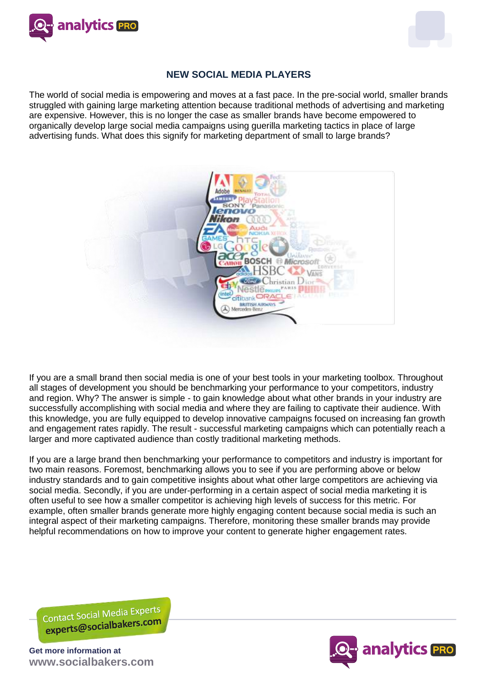



#### **NEW SOCIAL MEDIA PLAYERS**

The world of social media is empowering and moves at a fast pace. In the pre-social world, smaller brands struggled with gaining large marketing attention because traditional methods of advertising and marketing are expensive. However, this is no longer the case as smaller brands have become empowered to organically develop large social media campaigns using guerilla marketing tactics in place of large advertising funds. What does this signify for marketing department of small to large brands?



If you are a small brand then social media is one of your best tools in your marketing toolbox. Throughout all stages of development you should be benchmarking your performance to your competitors, industry and region. Why? The answer is simple - to gain knowledge about what other brands in your industry are successfully accomplishing with social media and where they are failing to captivate their audience. With this knowledge, you are fully equipped to develop innovative campaigns focused on increasing fan growth and engagement rates rapidly. The result - successful marketing campaigns which can potentially reach a larger and more captivated audience than costly traditional marketing methods.

If you are a large brand then benchmarking your performance to competitors and industry is important for two main reasons. Foremost, benchmarking allows you to see if you are performing above or below industry standards and to gain competitive insights about what other large competitors are achieving via social media. Secondly, if you are under-performing in a certain aspect of social media marketing it is often useful to see how a smaller competitor is achieving high levels of success for this metric. For example, often smaller brands generate more highly engaging content because social media is such an integral aspect of their marketing campaigns. Therefore, monitoring these smaller brands may provide helpful recommendations on how to improve your content to generate higher engagement rates.

Contact Social Media Experts Contact Social Media